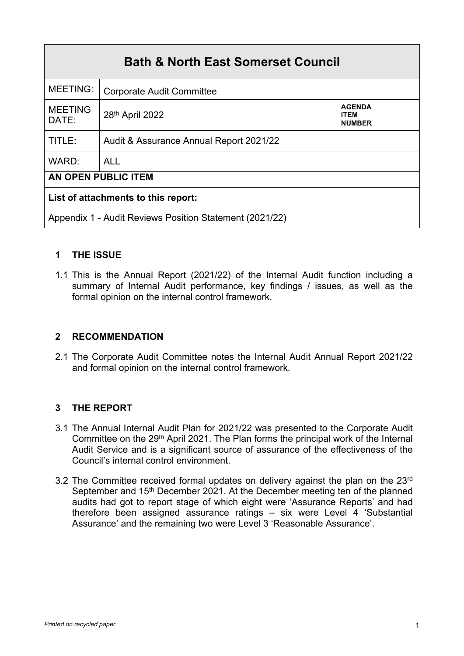| <b>Bath &amp; North East Somerset Council</b>           |                                         |                                               |  |  |  |  |
|---------------------------------------------------------|-----------------------------------------|-----------------------------------------------|--|--|--|--|
| <b>MEETING:</b>                                         | <b>Corporate Audit Committee</b>        |                                               |  |  |  |  |
| <b>MEETING</b><br>DATE:                                 | 28 <sup>th</sup> April 2022             | <b>AGENDA</b><br><b>ITEM</b><br><b>NUMBER</b> |  |  |  |  |
| TITLE:                                                  | Audit & Assurance Annual Report 2021/22 |                                               |  |  |  |  |
| WARD:                                                   | <b>ALL</b>                              |                                               |  |  |  |  |
| AN OPEN PUBLIC ITEM                                     |                                         |                                               |  |  |  |  |
| List of attachments to this report:                     |                                         |                                               |  |  |  |  |
| Appendix 1 - Audit Reviews Position Statement (2021/22) |                                         |                                               |  |  |  |  |

# **1 THE ISSUE**

1.1 This is the Annual Report (2021/22) of the Internal Audit function including a summary of Internal Audit performance, key findings / issues, as well as the formal opinion on the internal control framework.

# **2 RECOMMENDATION**

2.1 The Corporate Audit Committee notes the Internal Audit Annual Report 2021/22 and formal opinion on the internal control framework.

# **3 THE REPORT**

- 3.1 The Annual Internal Audit Plan for 2021/22 was presented to the Corporate Audit Committee on the 29<sup>th</sup> April 2021. The Plan forms the principal work of the Internal Audit Service and is a significant source of assurance of the effectiveness of the Council's internal control environment.
- 3.2 The Committee received formal updates on delivery against the plan on the 23rd September and 15<sup>th</sup> December 2021. At the December meeting ten of the planned audits had got to report stage of which eight were 'Assurance Reports' and had therefore been assigned assurance ratings – six were Level 4 'Substantial Assurance' and the remaining two were Level 3 'Reasonable Assurance'.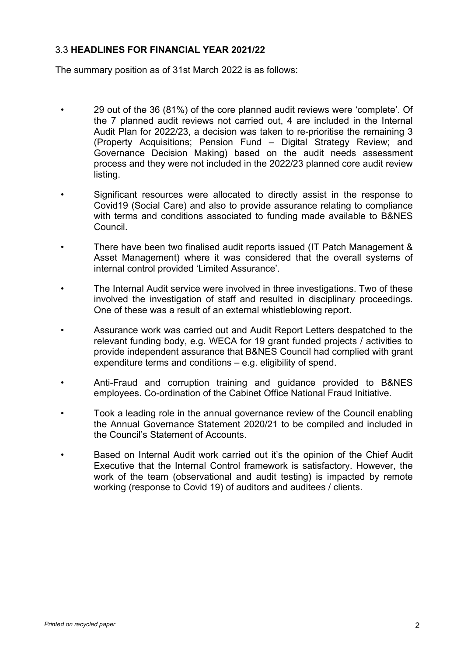#### 3.3 **HEADLINES FOR FINANCIAL YEAR 2021/22**

The summary position as of 31st March 2022 is as follows:

- 29 out of the 36 (81%) of the core planned audit reviews were 'complete'. Of the 7 planned audit reviews not carried out, 4 are included in the Internal Audit Plan for 2022/23, a decision was taken to re-prioritise the remaining 3 (Property Acquisitions; Pension Fund – Digital Strategy Review; and Governance Decision Making) based on the audit needs assessment process and they were not included in the 2022/23 planned core audit review listing.
- Significant resources were allocated to directly assist in the response to Covid19 (Social Care) and also to provide assurance relating to compliance with terms and conditions associated to funding made available to B&NES Council.
- There have been two finalised audit reports issued (IT Patch Management & Asset Management) where it was considered that the overall systems of internal control provided 'Limited Assurance'.
- The Internal Audit service were involved in three investigations. Two of these involved the investigation of staff and resulted in disciplinary proceedings. One of these was a result of an external whistleblowing report.
- Assurance work was carried out and Audit Report Letters despatched to the relevant funding body, e.g. WECA for 19 grant funded projects / activities to provide independent assurance that B&NES Council had complied with grant expenditure terms and conditions – e.g. eligibility of spend.
- Anti-Fraud and corruption training and guidance provided to B&NES employees. Co-ordination of the Cabinet Office National Fraud Initiative.
- Took a leading role in the annual governance review of the Council enabling the Annual Governance Statement 2020/21 to be compiled and included in the Council's Statement of Accounts.
- Based on Internal Audit work carried out it's the opinion of the Chief Audit Executive that the Internal Control framework is satisfactory. However, the work of the team (observational and audit testing) is impacted by remote working (response to Covid 19) of auditors and auditees / clients.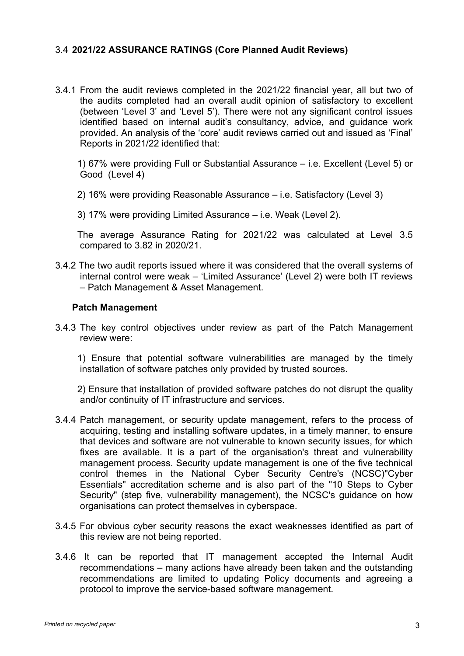#### 3.4 **2021/22 ASSURANCE RATINGS (Core Planned Audit Reviews)**

3.4.1 From the audit reviews completed in the 2021/22 financial year, all but two of the audits completed had an overall audit opinion of satisfactory to excellent (between 'Level 3' and 'Level 5'). There were not any significant control issues identified based on internal audit's consultancy, advice, and guidance work provided. An analysis of the 'core' audit reviews carried out and issued as 'Final' Reports in 2021/22 identified that:

1) 67% were providing Full or Substantial Assurance – i.e. Excellent (Level 5) or Good (Level 4)

- 2) 16% were providing Reasonable Assurance i.e. Satisfactory (Level 3)
- 3) 17% were providing Limited Assurance i.e. Weak (Level 2).

The average Assurance Rating for 2021/22 was calculated at Level 3.5 compared to 3.82 in 2020/21.

3.4.2 The two audit reports issued where it was considered that the overall systems of internal control were weak – 'Limited Assurance' (Level 2) were both IT reviews – Patch Management & Asset Management.

#### **Patch Management**

3.4.3 The key control objectives under review as part of the Patch Management review were:

1) Ensure that potential software vulnerabilities are managed by the timely installation of software patches only provided by trusted sources.

2) Ensure that installation of provided software patches do not disrupt the quality and/or continuity of IT infrastructure and services.

- 3.4.4 Patch management, or security update management, refers to the process of acquiring, testing and installing software updates, in a timely manner, to ensure that devices and software are not vulnerable to known security issues, for which fixes are available. It is a part of the organisation's threat and vulnerability management process. Security update management is one of the five technical control themes in the National Cyber Security Centre's (NCSC)"Cyber Essentials" accreditation scheme and is also part of the "10 Steps to Cyber Security" (step five, vulnerability management), the NCSC's guidance on how organisations can protect themselves in cyberspace.
- 3.4.5 For obvious cyber security reasons the exact weaknesses identified as part of this review are not being reported.
- 3.4.6 It can be reported that IT management accepted the Internal Audit recommendations – many actions have already been taken and the outstanding recommendations are limited to updating Policy documents and agreeing a protocol to improve the service-based software management.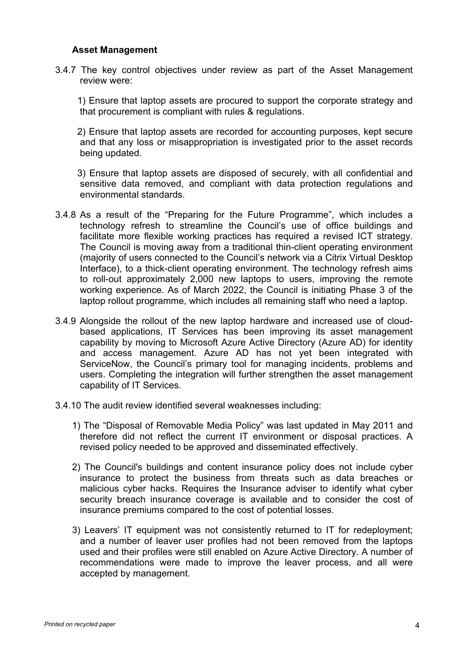#### **Asset Management**

3.4.7 The key control objectives under review as part of the Asset Management review were:

1) Ensure that laptop assets are procured to support the corporate strategy and that procurement is compliant with rules & regulations.

2) Ensure that laptop assets are recorded for accounting purposes, kept secure and that any loss or misappropriation is investigated prior to the asset records being updated.

3) Ensure that laptop assets are disposed of securely, with all confidential and sensitive data removed, and compliant with data protection regulations and environmental standards.

- 3.4.8 As a result of the "Preparing for the Future Programme", which includes a technology refresh to streamline the Council's use of office buildings and facilitate more flexible working practices has required a revised ICT strategy. The Council is moving away from a traditional thin-client operating environment (majority of users connected to the Council's network via a Citrix Virtual Desktop Interface), to a thick-client operating environment. The technology refresh aims to roll-out approximately 2,000 new laptops to users, improving the remote working experience. As of March 2022, the Council is initiating Phase 3 of the laptop rollout programme, which includes all remaining staff who need a laptop.
- 3.4.9 Alongside the rollout of the new laptop hardware and increased use of cloudbased applications, IT Services has been improving its asset management capability by moving to Microsoft Azure Active Directory (Azure AD) for identity and access management. Azure AD has not yet been integrated with ServiceNow, the Council's primary tool for managing incidents, problems and users. Completing the integration will further strengthen the asset management capability of IT Services.
- 3.4.10 The audit review identified several weaknesses including:
	- 1) The "Disposal of Removable Media Policy" was last updated in May 2011 and therefore did not reflect the current IT environment or disposal practices. A revised policy needed to be approved and disseminated effectively.
	- 2) The Council's buildings and content insurance policy does not include cyber insurance to protect the business from threats such as data breaches or malicious cyber hacks. Requires the Insurance adviser to identify what cyber security breach insurance coverage is available and to consider the cost of insurance premiums compared to the cost of potential losses.
	- 3) Leavers' IT equipment was not consistently returned to IT for redeployment; and a number of leaver user profiles had not been removed from the laptops used and their profiles were still enabled on Azure Active Directory. A number of recommendations were made to improve the leaver process, and all were accepted by management.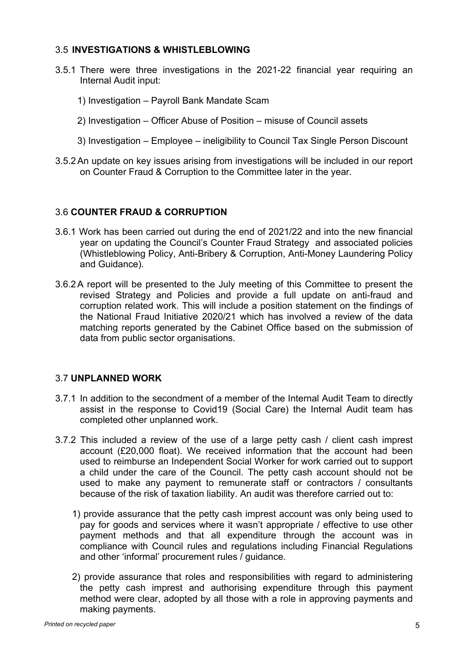## 3.5 **INVESTIGATIONS & WHISTLEBLOWING**

- 3.5.1 There were three investigations in the 2021-22 financial year requiring an Internal Audit input:
	- 1) Investigation Payroll Bank Mandate Scam
	- 2) Investigation Officer Abuse of Position misuse of Council assets
	- 3) Investigation Employee ineligibility to Council Tax Single Person Discount
- 3.5.2An update on key issues arising from investigations will be included in our report on Counter Fraud & Corruption to the Committee later in the year.

## 3.6 **COUNTER FRAUD & CORRUPTION**

- 3.6.1 Work has been carried out during the end of 2021/22 and into the new financial year on updating the Council's Counter Fraud Strategy and associated policies (Whistleblowing Policy, Anti-Bribery & Corruption, Anti-Money Laundering Policy and Guidance).
- 3.6.2A report will be presented to the July meeting of this Committee to present the revised Strategy and Policies and provide a full update on anti-fraud and corruption related work. This will include a position statement on the findings of the National Fraud Initiative 2020/21 which has involved a review of the data matching reports generated by the Cabinet Office based on the submission of data from public sector organisations.

#### 3.7 **UNPLANNED WORK**

- 3.7.1 In addition to the secondment of a member of the Internal Audit Team to directly assist in the response to Covid19 (Social Care) the Internal Audit team has completed other unplanned work.
- 3.7.2 This included a review of the use of a large petty cash / client cash imprest account (£20,000 float). We received information that the account had been used to reimburse an Independent Social Worker for work carried out to support a child under the care of the Council. The petty cash account should not be used to make any payment to remunerate staff or contractors / consultants because of the risk of taxation liability. An audit was therefore carried out to:
	- 1) provide assurance that the petty cash imprest account was only being used to pay for goods and services where it wasn't appropriate / effective to use other payment methods and that all expenditure through the account was in compliance with Council rules and regulations including Financial Regulations and other 'informal' procurement rules / guidance.
	- 2) provide assurance that roles and responsibilities with regard to administering the petty cash imprest and authorising expenditure through this payment method were clear, adopted by all those with a role in approving payments and making payments.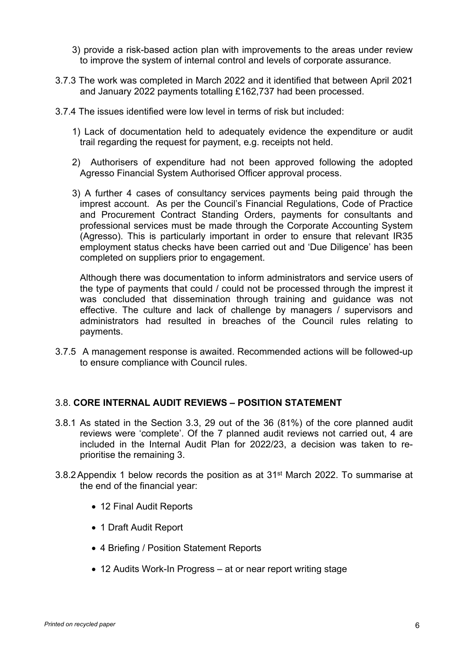- 3) provide a risk-based action plan with improvements to the areas under review to improve the system of internal control and levels of corporate assurance.
- 3.7.3 The work was completed in March 2022 and it identified that between April 2021 and January 2022 payments totalling £162,737 had been processed.
- 3.7.4 The issues identified were low level in terms of risk but included:
	- 1) Lack of documentation held to adequately evidence the expenditure or audit trail regarding the request for payment, e.g. receipts not held.
	- 2) Authorisers of expenditure had not been approved following the adopted Agresso Financial System Authorised Officer approval process.
	- 3) A further 4 cases of consultancy services payments being paid through the imprest account. As per the Council's Financial Regulations, Code of Practice and Procurement Contract Standing Orders, payments for consultants and professional services must be made through the Corporate Accounting System (Agresso). This is particularly important in order to ensure that relevant IR35 employment status checks have been carried out and 'Due Diligence' has been completed on suppliers prior to engagement.

Although there was documentation to inform administrators and service users of the type of payments that could / could not be processed through the imprest it was concluded that dissemination through training and guidance was not effective. The culture and lack of challenge by managers / supervisors and administrators had resulted in breaches of the Council rules relating to payments.

3.7.5 A management response is awaited. Recommended actions will be followed-up to ensure compliance with Council rules.

#### 3.8. **CORE INTERNAL AUDIT REVIEWS – POSITION STATEMENT**

- 3.8.1 As stated in the Section 3.3, 29 out of the 36 (81%) of the core planned audit reviews were 'complete'. Of the 7 planned audit reviews not carried out, 4 are included in the Internal Audit Plan for 2022/23, a decision was taken to reprioritise the remaining 3.
- 3.8.2Appendix 1 below records the position as at 31st March 2022. To summarise at the end of the financial year:
	- 12 Final Audit Reports
	- 1 Draft Audit Report
	- 4 Briefing / Position Statement Reports
	- 12 Audits Work-In Progress at or near report writing stage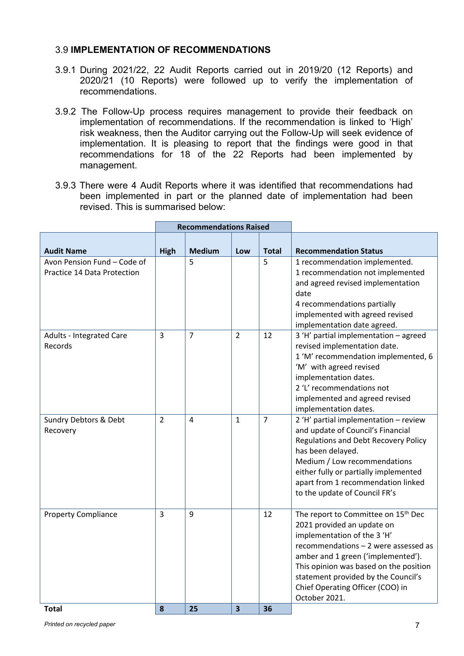#### 3.9 **IMPLEMENTATION OF RECOMMENDATIONS**

- 3.9.1 During 2021/22, 22 Audit Reports carried out in 2019/20 (12 Reports) and 2020/21 (10 Reports) were followed up to verify the implementation of recommendations.
- 3.9.2 The Follow-Up process requires management to provide their feedback on implementation of recommendations. If the recommendation is linked to 'High' risk weakness, then the Auditor carrying out the Follow-Up will seek evidence of implementation. It is pleasing to report that the findings were good in that recommendations for 18 of the 22 Reports had been implemented by management.
- 3.9.3 There were 4 Audit Reports where it was identified that recommendations had been implemented in part or the planned date of implementation had been revised. This is summarised below:

|                                                            | <b>Recommendations Raised</b> |                |                         |                |                                                                                                                                                                                                                                                                                                                                  |
|------------------------------------------------------------|-------------------------------|----------------|-------------------------|----------------|----------------------------------------------------------------------------------------------------------------------------------------------------------------------------------------------------------------------------------------------------------------------------------------------------------------------------------|
| <b>Audit Name</b>                                          | <b>High</b>                   | <b>Medium</b>  | Low                     | <b>Total</b>   | <b>Recommendation Status</b>                                                                                                                                                                                                                                                                                                     |
| Avon Pension Fund - Code of<br>Practice 14 Data Protection |                               | 5              |                         | 5              | 1 recommendation implemented.<br>1 recommendation not implemented<br>and agreed revised implementation<br>date<br>4 recommendations partially<br>implemented with agreed revised<br>implementation date agreed.                                                                                                                  |
| Adults - Integrated Care<br>Records                        | $\overline{3}$                | $\overline{7}$ | $\mathcal{L}$           | 12             | 3 'H' partial implementation - agreed<br>revised implementation date.<br>1 'M' recommendation implemented, 6<br>'M' with agreed revised<br>implementation dates.<br>2 'L' recommendations not<br>implemented and agreed revised<br>implementation dates.                                                                         |
| Sundry Debtors & Debt<br>Recovery                          | $\overline{2}$                | 4              | $\mathbf{1}$            | $\overline{7}$ | 2 'H' partial implementation - review<br>and update of Council's Financial<br><b>Regulations and Debt Recovery Policy</b><br>has been delayed.<br>Medium / Low recommendations<br>either fully or partially implemented<br>apart from 1 recommendation linked<br>to the update of Council FR's                                   |
| <b>Property Compliance</b>                                 | $\overline{3}$                | 9              |                         | 12             | The report to Committee on 15 <sup>th</sup> Dec<br>2021 provided an update on<br>implementation of the 3 'H'<br>recommendations - 2 were assessed as<br>amber and 1 green ('implemented').<br>This opinion was based on the position<br>statement provided by the Council's<br>Chief Operating Officer (COO) in<br>October 2021. |
| <b>Total</b>                                               | 8                             | 25             | $\overline{\mathbf{3}}$ | 36             |                                                                                                                                                                                                                                                                                                                                  |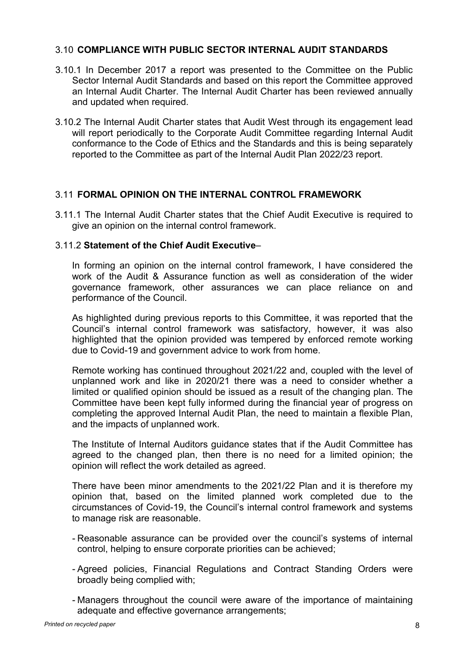#### 3.10 **COMPLIANCE WITH PUBLIC SECTOR INTERNAL AUDIT STANDARDS**

- 3.10.1 In December 2017 a report was presented to the Committee on the Public Sector Internal Audit Standards and based on this report the Committee approved an Internal Audit Charter. The Internal Audit Charter has been reviewed annually and updated when required.
- 3.10.2 The Internal Audit Charter states that Audit West through its engagement lead will report periodically to the Corporate Audit Committee regarding Internal Audit conformance to the Code of Ethics and the Standards and this is being separately reported to the Committee as part of the Internal Audit Plan 2022/23 report.

## 3.11 **FORMAL OPINION ON THE INTERNAL CONTROL FRAMEWORK**

3.11.1 The Internal Audit Charter states that the Chief Audit Executive is required to give an opinion on the internal control framework.

#### 3.11.2 **Statement of the Chief Audit Executive**–

In forming an opinion on the internal control framework, I have considered the work of the Audit & Assurance function as well as consideration of the wider governance framework, other assurances we can place reliance on and performance of the Council.

As highlighted during previous reports to this Committee, it was reported that the Council's internal control framework was satisfactory, however, it was also highlighted that the opinion provided was tempered by enforced remote working due to Covid-19 and government advice to work from home.

Remote working has continued throughout 2021/22 and, coupled with the level of unplanned work and like in 2020/21 there was a need to consider whether a limited or qualified opinion should be issued as a result of the changing plan. The Committee have been kept fully informed during the financial year of progress on completing the approved Internal Audit Plan, the need to maintain a flexible Plan, and the impacts of unplanned work.

The Institute of Internal Auditors guidance states that if the Audit Committee has agreed to the changed plan, then there is no need for a limited opinion; the opinion will reflect the work detailed as agreed.

There have been minor amendments to the 2021/22 Plan and it is therefore my opinion that, based on the limited planned work completed due to the circumstances of Covid-19, the Council's internal control framework and systems to manage risk are reasonable.

- Reasonable assurance can be provided over the council's systems of internal control, helping to ensure corporate priorities can be achieved;
- Agreed policies, Financial Regulations and Contract Standing Orders were broadly being complied with;
- Managers throughout the council were aware of the importance of maintaining adequate and effective governance arrangements;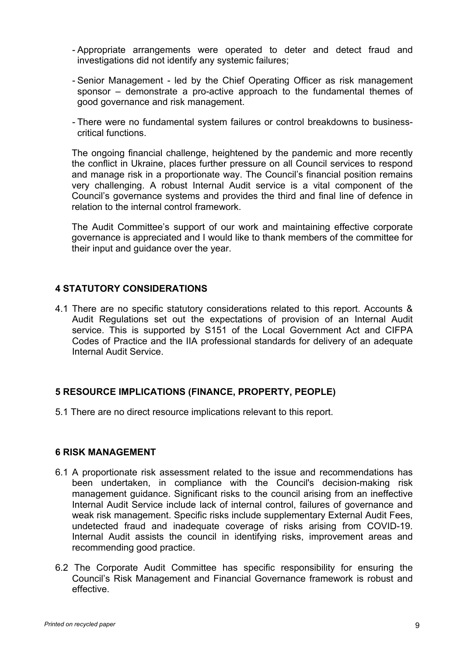- Appropriate arrangements were operated to deter and detect fraud and investigations did not identify any systemic failures;
- Senior Management led by the Chief Operating Officer as risk management sponsor – demonstrate a pro-active approach to the fundamental themes of good governance and risk management.
- There were no fundamental system failures or control breakdowns to businesscritical functions.

The ongoing financial challenge, heightened by the pandemic and more recently the conflict in Ukraine, places further pressure on all Council services to respond and manage risk in a proportionate way. The Council's financial position remains very challenging. A robust Internal Audit service is a vital component of the Council's governance systems and provides the third and final line of defence in relation to the internal control framework.

The Audit Committee's support of our work and maintaining effective corporate governance is appreciated and I would like to thank members of the committee for their input and guidance over the year.

## **4 STATUTORY CONSIDERATIONS**

4.1 There are no specific statutory considerations related to this report. Accounts & Audit Regulations set out the expectations of provision of an Internal Audit service. This is supported by S151 of the Local Government Act and CIFPA Codes of Practice and the IIA professional standards for delivery of an adequate Internal Audit Service.

# **5 RESOURCE IMPLICATIONS (FINANCE, PROPERTY, PEOPLE)**

5.1 There are no direct resource implications relevant to this report.

#### **6 RISK MANAGEMENT**

- 6.1 A proportionate risk assessment related to the issue and recommendations has been undertaken, in compliance with the Council's decision-making risk management guidance. Significant risks to the council arising from an ineffective Internal Audit Service include lack of internal control, failures of governance and weak risk management. Specific risks include supplementary External Audit Fees, undetected fraud and inadequate coverage of risks arising from COVID-19. Internal Audit assists the council in identifying risks, improvement areas and recommending good practice.
- 6.2 The Corporate Audit Committee has specific responsibility for ensuring the Council's Risk Management and Financial Governance framework is robust and effective.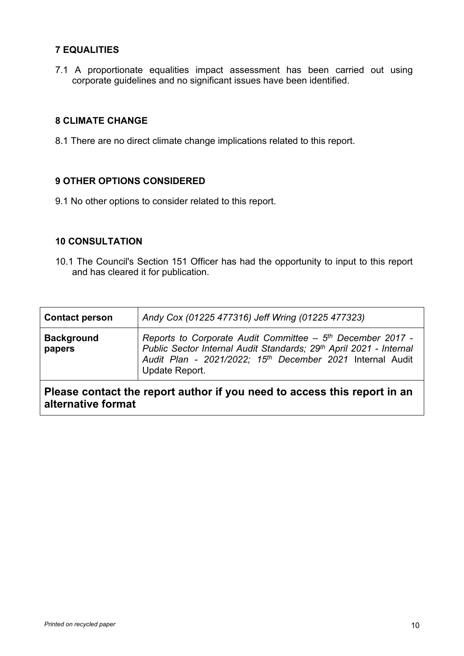# **7 EQUALITIES**

7.1 A proportionate equalities impact assessment has been carried out using corporate guidelines and no significant issues have been identified.

## **8 CLIMATE CHANGE**

8.1 There are no direct climate change implications related to this report.

#### **9 OTHER OPTIONS CONSIDERED**

9.1 No other options to consider related to this report.

#### **10 CONSULTATION**

10.1 The Council's Section 151 Officer has had the opportunity to input to this report and has cleared it for publication.

| <b>Contact person</b>                                                                          | Andy Cox (01225 477316) Jeff Wring (01225 477323)                                                                                                                                                                                       |  |  |  |  |
|------------------------------------------------------------------------------------------------|-----------------------------------------------------------------------------------------------------------------------------------------------------------------------------------------------------------------------------------------|--|--|--|--|
| <b>Background</b><br>papers                                                                    | Reports to Corporate Audit Committee - 5 <sup>th</sup> December 2017 -<br>Public Sector Internal Audit Standards; 29th April 2021 - Internal<br>Audit Plan - 2021/2022; 15 <sup>th</sup> December 2021 Internal Audit<br>Update Report. |  |  |  |  |
| Please contact the report author if you need to access this report in an<br>alternative format |                                                                                                                                                                                                                                         |  |  |  |  |